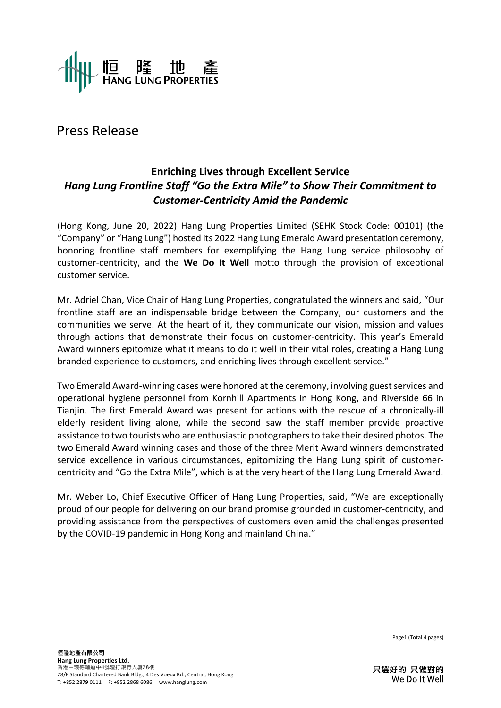

Press Release

## **Enriching Lives through Excellent Service** *Hang Lung Frontline Staff "Go the Extra Mile" to Show Their Commitment to Customer-Centricity Amid the Pandemic*

(Hong Kong, June 20, 2022) Hang Lung Properties Limited (SEHK Stock Code: 00101) (the "Company" or "Hang Lung") hosted its 2022 Hang Lung Emerald Award presentation ceremony, honoring frontline staff members for exemplifying the Hang Lung service philosophy of customer-centricity, and the **We Do It Well** motto through the provision of exceptional customer service.

Mr. Adriel Chan, Vice Chair of Hang Lung Properties, congratulated the winners and said, "Our frontline staff are an indispensable bridge between the Company, our customers and the communities we serve. At the heart of it, they communicate our vision, mission and values through actions that demonstrate their focus on customer-centricity. This year's Emerald Award winners epitomize what it means to do it well in their vital roles, creating a Hang Lung branded experience to customers, and enriching lives through excellent service."

Two Emerald Award-winning cases were honored at the ceremony, involving guest services and operational hygiene personnel from Kornhill Apartments in Hong Kong, and Riverside 66 in Tianjin. The first Emerald Award was present for actions with the rescue of a chronically-ill elderly resident living alone, while the second saw the staff member provide proactive assistance to two tourists who are enthusiastic photographersto take their desired photos. The two Emerald Award winning cases and those of the three Merit Award winners demonstrated service excellence in various circumstances, epitomizing the Hang Lung spirit of customercentricity and "Go the Extra Mile", which is at the very heart of the Hang Lung Emerald Award.

Mr. Weber Lo, Chief Executive Officer of Hang Lung Properties, said, "We are exceptionally proud of our people for delivering on our brand promise grounded in customer-centricity, and providing assistance from the perspectives of customers even amid the challenges presented by the COVID-19 pandemic in Hong Kong and mainland China."

Page1 (Total 4 pages)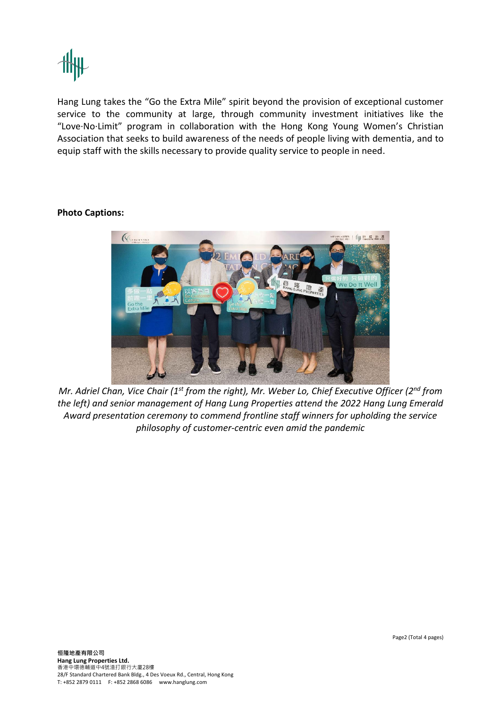

Hang Lung takes the "Go the Extra Mile" spirit beyond the provision of exceptional customer service to the community at large, through community investment initiatives like the "Love·No·Limit" program in collaboration with the Hong Kong Young Women's Christian Association that seeks to build awareness of the needs of people living with dementia, and to equip staff with the skills necessary to provide quality service to people in need.

## **Photo Captions:**



Mr. Adriel Chan, Vice Chair (1<sup>st</sup> from the right), Mr. Weber Lo, Chief Executive Officer (2<sup>nd</sup> from *the left) and senior management of Hang Lung Properties attend the 2022 Hang Lung Emerald Award presentation ceremony to commend frontline staff winners for upholding the service philosophy of customer-centric even amid the pandemic*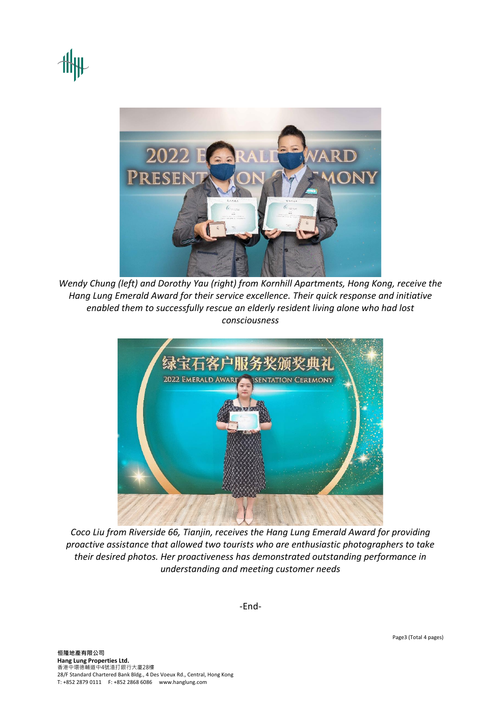

*Wendy Chung (left) and Dorothy Yau (right) from Kornhill Apartments, Hong Kong, receive the Hang Lung Emerald Award for their service excellence. Their quick response and initiative enabled them to successfully rescue an elderly resident living alone who had lost consciousness* 



*Coco Liu from Riverside 66, Tianjin, receives the Hang Lung Emerald Award for providing proactive assistance that allowed two tourists who are enthusiastic photographers to take their desired photos. Her proactiveness has demonstrated outstanding performance in understanding and meeting customer needs* 

-End-